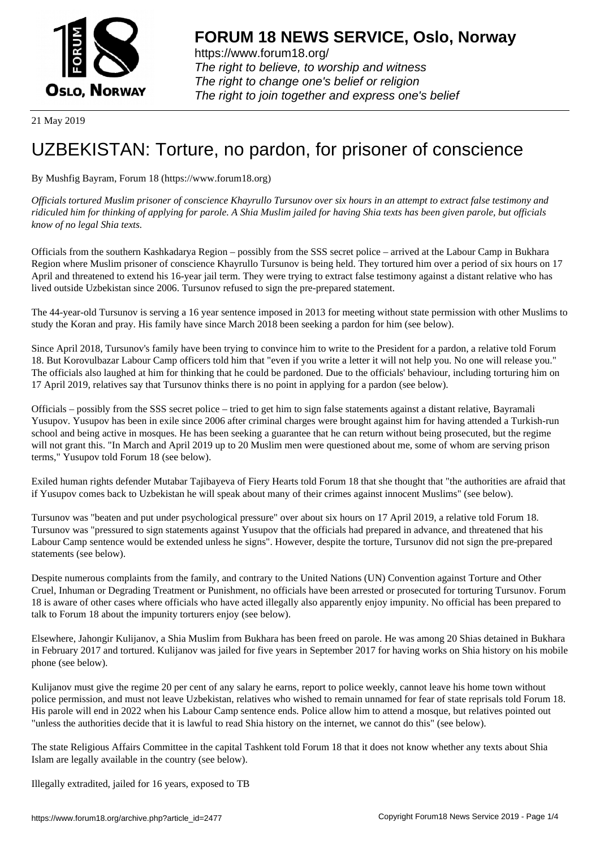

https://www.forum18.org/ The right to believe, to worship and witness The right to change one's belief or religion [The right to join together a](https://www.forum18.org/)nd express one's belief

21 May 2019

## [UZBEKISTAN:](https://www.forum18.org) Torture, no pardon, for prisoner of conscience

By Mushfig Bayram, Forum 18 (https://www.forum18.org)

*Officials tortured Muslim prisoner of conscience Khayrullo Tursunov over six hours in an attempt to extract false testimony and ridiculed him for thinking of applying for parole. A Shia Muslim jailed for having Shia texts has been given parole, but officials know of no legal Shia texts.*

Officials from the southern Kashkadarya Region – possibly from the SSS secret police – arrived at the Labour Camp in Bukhara Region where Muslim prisoner of conscience Khayrullo Tursunov is being held. They tortured him over a period of six hours on 17 April and threatened to extend his 16-year jail term. They were trying to extract false testimony against a distant relative who has lived outside Uzbekistan since 2006. Tursunov refused to sign the pre-prepared statement.

The 44-year-old Tursunov is serving a 16 year sentence imposed in 2013 for meeting without state permission with other Muslims to study the Koran and pray. His family have since March 2018 been seeking a pardon for him (see below).

Since April 2018, Tursunov's family have been trying to convince him to write to the President for a pardon, a relative told Forum 18. But Korovulbazar Labour Camp officers told him that "even if you write a letter it will not help you. No one will release you." The officials also laughed at him for thinking that he could be pardoned. Due to the officials' behaviour, including torturing him on 17 April 2019, relatives say that Tursunov thinks there is no point in applying for a pardon (see below).

Officials – possibly from the SSS secret police – tried to get him to sign false statements against a distant relative, Bayramali Yusupov. Yusupov has been in exile since 2006 after criminal charges were brought against him for having attended a Turkish-run school and being active in mosques. He has been seeking a guarantee that he can return without being prosecuted, but the regime will not grant this. "In March and April 2019 up to 20 Muslim men were questioned about me, some of whom are serving prison terms," Yusupov told Forum 18 (see below).

Exiled human rights defender Mutabar Tajibayeva of Fiery Hearts told Forum 18 that she thought that "the authorities are afraid that if Yusupov comes back to Uzbekistan he will speak about many of their crimes against innocent Muslims" (see below).

Tursunov was "beaten and put under psychological pressure" over about six hours on 17 April 2019, a relative told Forum 18. Tursunov was "pressured to sign statements against Yusupov that the officials had prepared in advance, and threatened that his Labour Camp sentence would be extended unless he signs". However, despite the torture, Tursunov did not sign the pre-prepared statements (see below).

Despite numerous complaints from the family, and contrary to the United Nations (UN) Convention against Torture and Other Cruel, Inhuman or Degrading Treatment or Punishment, no officials have been arrested or prosecuted for torturing Tursunov. Forum 18 is aware of other cases where officials who have acted illegally also apparently enjoy impunity. No official has been prepared to talk to Forum 18 about the impunity torturers enjoy (see below).

Elsewhere, Jahongir Kulijanov, a Shia Muslim from Bukhara has been freed on parole. He was among 20 Shias detained in Bukhara in February 2017 and tortured. Kulijanov was jailed for five years in September 2017 for having works on Shia history on his mobile phone (see below).

Kulijanov must give the regime 20 per cent of any salary he earns, report to police weekly, cannot leave his home town without police permission, and must not leave Uzbekistan, relatives who wished to remain unnamed for fear of state reprisals told Forum 18. His parole will end in 2022 when his Labour Camp sentence ends. Police allow him to attend a mosque, but relatives pointed out "unless the authorities decide that it is lawful to read Shia history on the internet, we cannot do this" (see below).

The state Religious Affairs Committee in the capital Tashkent told Forum 18 that it does not know whether any texts about Shia Islam are legally available in the country (see below).

Illegally extradited, jailed for 16 years, exposed to TB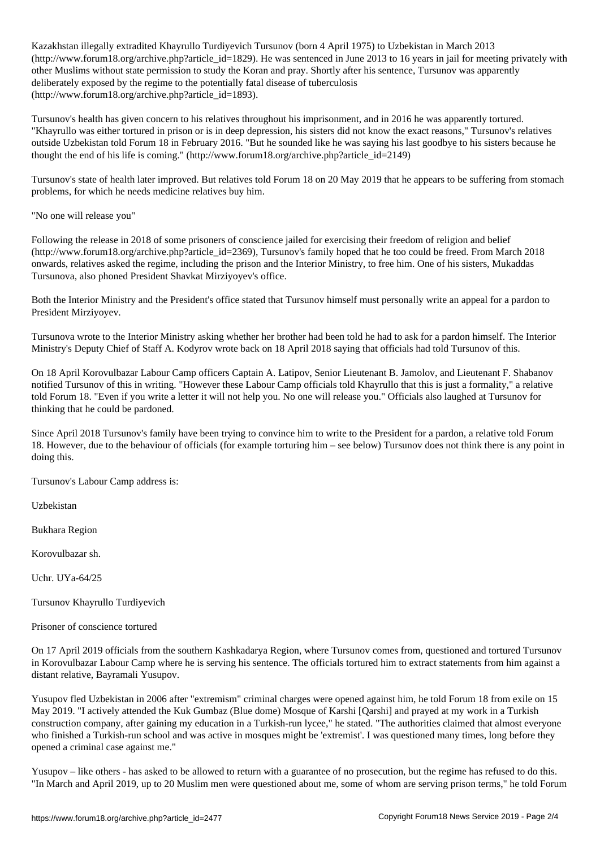Kazakhstan illegally extradited Khayrullo Turdiyevich Tursunov (born 4 April 1975) to Uzbekistan in March 2013 (http://www.forum18.org/archive.php?article\_id=1829). He was sentenced in June 2013 to 16 years in jail for meeting privately with other Muslims without state permission to study the Koran and pray. Shortly after his sentence, Tursunov was apparently deliberately exposed by the regime to the potentially fatal disease of tuberculosis (http://www.forum18.org/archive.php?article\_id=1893).

Tursunov's health has given concern to his relatives throughout his imprisonment, and in 2016 he was apparently tortured. "Khayrullo was either tortured in prison or is in deep depression, his sisters did not know the exact reasons," Tursunov's relatives outside Uzbekistan told Forum 18 in February 2016. "But he sounded like he was saying his last goodbye to his sisters because he thought the end of his life is coming." (http://www.forum18.org/archive.php?article\_id=2149)

Tursunov's state of health later improved. But relatives told Forum 18 on 20 May 2019 that he appears to be suffering from stomach problems, for which he needs medicine relatives buy him.

"No one will release you"

Following the release in 2018 of some prisoners of conscience jailed for exercising their freedom of religion and belief (http://www.forum18.org/archive.php?article\_id=2369), Tursunov's family hoped that he too could be freed. From March 2018 onwards, relatives asked the regime, including the prison and the Interior Ministry, to free him. One of his sisters, Mukaddas Tursunova, also phoned President Shavkat Mirziyoyev's office.

Both the Interior Ministry and the President's office stated that Tursunov himself must personally write an appeal for a pardon to President Mirziyoyev.

Tursunova wrote to the Interior Ministry asking whether her brother had been told he had to ask for a pardon himself. The Interior Ministry's Deputy Chief of Staff A. Kodyrov wrote back on 18 April 2018 saying that officials had told Tursunov of this.

On 18 April Korovulbazar Labour Camp officers Captain A. Latipov, Senior Lieutenant B. Jamolov, and Lieutenant F. Shabanov notified Tursunov of this in writing. "However these Labour Camp officials told Khayrullo that this is just a formality," a relative told Forum 18. "Even if you write a letter it will not help you. No one will release you." Officials also laughed at Tursunov for thinking that he could be pardoned.

Since April 2018 Tursunov's family have been trying to convince him to write to the President for a pardon, a relative told Forum 18. However, due to the behaviour of officials (for example torturing him – see below) Tursunov does not think there is any point in doing this.

Tursunov's Labour Camp address is:

Uzbekistan

Bukhara Region

Korovulbazar sh.

Uchr. UYa-64/25

Tursunov Khayrullo Turdiyevich

Prisoner of conscience tortured

On 17 April 2019 officials from the southern Kashkadarya Region, where Tursunov comes from, questioned and tortured Tursunov in Korovulbazar Labour Camp where he is serving his sentence. The officials tortured him to extract statements from him against a distant relative, Bayramali Yusupov.

Yusupov fled Uzbekistan in 2006 after "extremism" criminal charges were opened against him, he told Forum 18 from exile on 15 May 2019. "I actively attended the Kuk Gumbaz (Blue dome) Mosque of Karshi [Qarshi] and prayed at my work in a Turkish construction company, after gaining my education in a Turkish-run lycee," he stated. "The authorities claimed that almost everyone who finished a Turkish-run school and was active in mosques might be 'extremist'. I was questioned many times, long before they opened a criminal case against me."

Yusupov – like others - has asked to be allowed to return with a guarantee of no prosecution, but the regime has refused to do this. "In March and April 2019, up to 20 Muslim men were questioned about me, some of whom are serving prison terms," he told Forum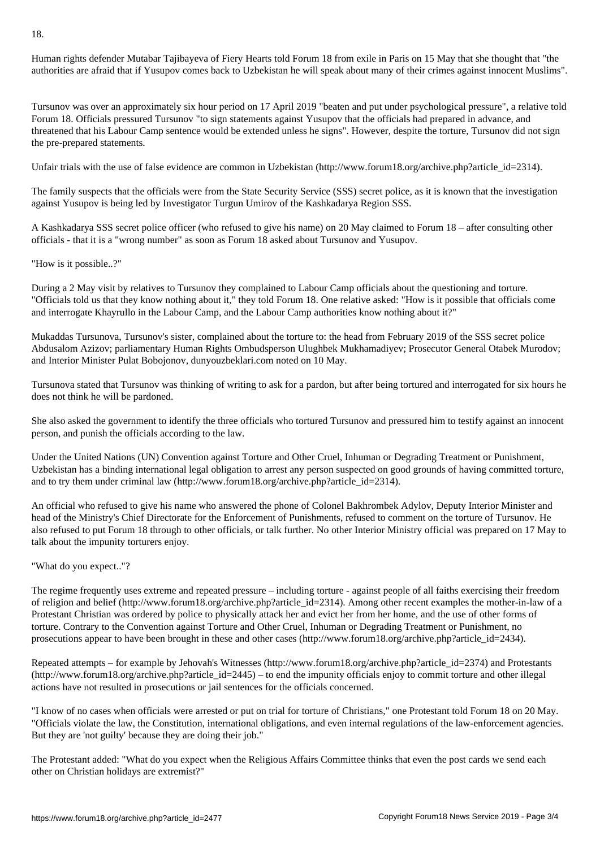Human rights defender Mutabar Tajibayeva of Fiery Hearts told Forum 18 from exile in Paris on 15 May that she thought that "the authorities are afraid that if Yusupov comes back to Uzbekistan he will speak about many of their crimes against innocent Muslims".

Tursunov was over an approximately six hour period on 17 April 2019 "beaten and put under psychological pressure", a relative told Forum 18. Officials pressured Tursunov "to sign statements against Yusupov that the officials had prepared in advance, and threatened that his Labour Camp sentence would be extended unless he signs". However, despite the torture, Tursunov did not sign the pre-prepared statements.

Unfair trials with the use of false evidence are common in Uzbekistan (http://www.forum18.org/archive.php?article\_id=2314).

The family suspects that the officials were from the State Security Service (SSS) secret police, as it is known that the investigation against Yusupov is being led by Investigator Turgun Umirov of the Kashkadarya Region SSS.

A Kashkadarya SSS secret police officer (who refused to give his name) on 20 May claimed to Forum 18 – after consulting other officials - that it is a "wrong number" as soon as Forum 18 asked about Tursunov and Yusupov.

"How is it possible..?"

During a 2 May visit by relatives to Tursunov they complained to Labour Camp officials about the questioning and torture. "Officials told us that they know nothing about it," they told Forum 18. One relative asked: "How is it possible that officials come and interrogate Khayrullo in the Labour Camp, and the Labour Camp authorities know nothing about it?"

Mukaddas Tursunova, Tursunov's sister, complained about the torture to: the head from February 2019 of the SSS secret police Abdusalom Azizov; parliamentary Human Rights Ombudsperson Ulughbek Mukhamadiyev; Prosecutor General Otabek Murodov; and Interior Minister Pulat Bobojonov, dunyouzbeklari.com noted on 10 May.

Tursunova stated that Tursunov was thinking of writing to ask for a pardon, but after being tortured and interrogated for six hours he does not think he will be pardoned.

She also asked the government to identify the three officials who tortured Tursunov and pressured him to testify against an innocent person, and punish the officials according to the law.

Under the United Nations (UN) Convention against Torture and Other Cruel, Inhuman or Degrading Treatment or Punishment, Uzbekistan has a binding international legal obligation to arrest any person suspected on good grounds of having committed torture, and to try them under criminal law (http://www.forum18.org/archive.php?article\_id=2314).

An official who refused to give his name who answered the phone of Colonel Bakhrombek Adylov, Deputy Interior Minister and head of the Ministry's Chief Directorate for the Enforcement of Punishments, refused to comment on the torture of Tursunov. He also refused to put Forum 18 through to other officials, or talk further. No other Interior Ministry official was prepared on 17 May to talk about the impunity torturers enjoy.

## "What do you expect.."?

The regime frequently uses extreme and repeated pressure – including torture - against people of all faiths exercising their freedom of religion and belief (http://www.forum18.org/archive.php?article\_id=2314). Among other recent examples the mother-in-law of a Protestant Christian was ordered by police to physically attack her and evict her from her home, and the use of other forms of torture. Contrary to the Convention against Torture and Other Cruel, Inhuman or Degrading Treatment or Punishment, no prosecutions appear to have been brought in these and other cases (http://www.forum18.org/archive.php?article\_id=2434).

Repeated attempts – for example by Jehovah's Witnesses (http://www.forum18.org/archive.php?article\_id=2374) and Protestants  $(\text{http://www.forum18.org/architecture.php?article id=2445) – to end the impunity officials enjoy to commit torture and other illegal)$ actions have not resulted in prosecutions or jail sentences for the officials concerned.

"I know of no cases when officials were arrested or put on trial for torture of Christians," one Protestant told Forum 18 on 20 May. "Officials violate the law, the Constitution, international obligations, and even internal regulations of the law-enforcement agencies. But they are 'not guilty' because they are doing their job."

The Protestant added: "What do you expect when the Religious Affairs Committee thinks that even the post cards we send each other on Christian holidays are extremist?"